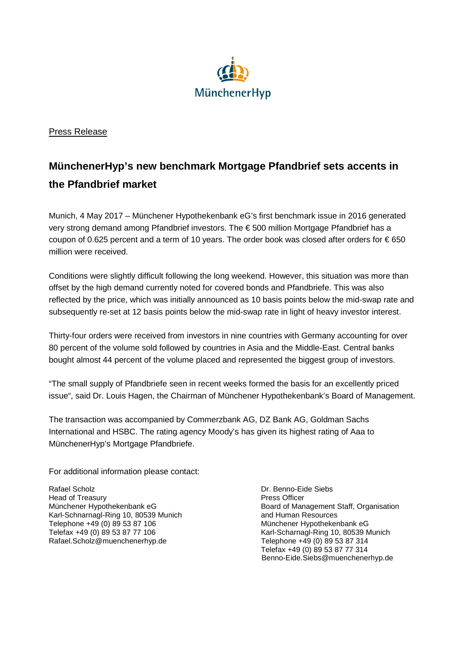

## Press Release

## **MünchenerHyp's new benchmark Mortgage Pfandbrief sets accents in the Pfandbrief market**

Munich, 4 May 2017 – Münchener Hypothekenbank eG's first benchmark issue in 2016 generated very strong demand among Pfandbrief investors. The € 500 million Mortgage Pfandbrief has a coupon of 0.625 percent and a term of 10 years. The order book was closed after orders for  $\epsilon$  650 million were received.

Conditions were slightly difficult following the long weekend. However, this situation was more than offset by the high demand currently noted for covered bonds and Pfandbriefe. This was also reflected by the price, which was initially announced as 10 basis points below the mid-swap rate and subsequently re-set at 12 basis points below the mid-swap rate in light of heavy investor interest.

Thirty-four orders were received from investors in nine countries with Germany accounting for over 80 percent of the volume sold followed by countries in Asia and the Middle-East. Central banks bought almost 44 percent of the volume placed and represented the biggest group of investors.

"The small supply of Pfandbriefe seen in recent weeks formed the basis for an excellently priced issue", said Dr. Louis Hagen, the Chairman of Münchener Hypothekenbank's Board of Management.

The transaction was accompanied by Commerzbank AG, DZ Bank AG, Goldman Sachs International and HSBC. The rating agency Moody's has given its highest rating of Aaa to MünchenerHyp's Mortgage Pfandbriefe.

For additional information please contact:

Rafael Scholz Dr. Benno-Eide Siebs Head of Treasury Press Officer Karl-Schnarnagl-Ring 10, 80539 Munich and Human Resources Telephone +49 (0) 89 53 87 106 Münchener Hypothekenbank eG Telefax +49 (0) 89 53 87 77 106 **Karl-Scharnagl-Ring 10, 80539 Munich** Rafael.Scholz@muenchenerhyp.de Telephone +49 (0) 89 53 87 314

Münchener Hypothekenbank eG Board of Management Staff, Organisation Telefax +49 (0) 89 53 87 77 314 Benno-Eide.Siebs@muenchenerhyp.de